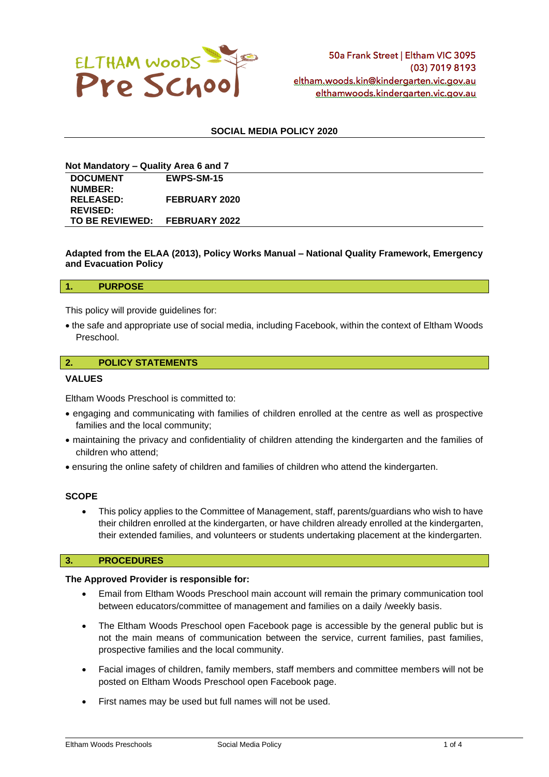

### **SOCIAL MEDIA POLICY 2020**

**Not Mandatory – Quality Area 6 and 7 DOCUMENT NUMBER: EWPS-SM-15 RELEASED: FEBRUARY 2020 REVISED: TO BE REVIEWED: FEBRUARY 2022**

**Adapted from the ELAA (2013), Policy Works Manual – National Quality Framework, Emergency and Evacuation Policy**

#### **1. PURPOSE**

This policy will provide guidelines for:

• the safe and appropriate use of social media, including Facebook, within the context of Eltham Woods Preschool.

### **2. POLICY STATEMENTS**

#### **VALUES**

Eltham Woods Preschool is committed to:

- engaging and communicating with families of children enrolled at the centre as well as prospective families and the local community;
- maintaining the privacy and confidentiality of children attending the kindergarten and the families of children who attend;
- ensuring the online safety of children and families of children who attend the kindergarten.

#### **SCOPE**

• This policy applies to the Committee of Management, staff, parents/guardians who wish to have their children enrolled at the kindergarten, or have children already enrolled at the kindergarten, their extended families, and volunteers or students undertaking placement at the kindergarten.

#### **3. PROCEDURES**

#### **The Approved Provider is responsible for:**

- Email from Eltham Woods Preschool main account will remain the primary communication tool between educators/committee of management and families on a daily /weekly basis.
- The Eltham Woods Preschool open Facebook page is accessible by the general public but is not the main means of communication between the service, current families, past families, prospective families and the local community.
- Facial images of children, family members, staff members and committee members will not be posted on Eltham Woods Preschool open Facebook page.
- First names may be used but full names will not be used.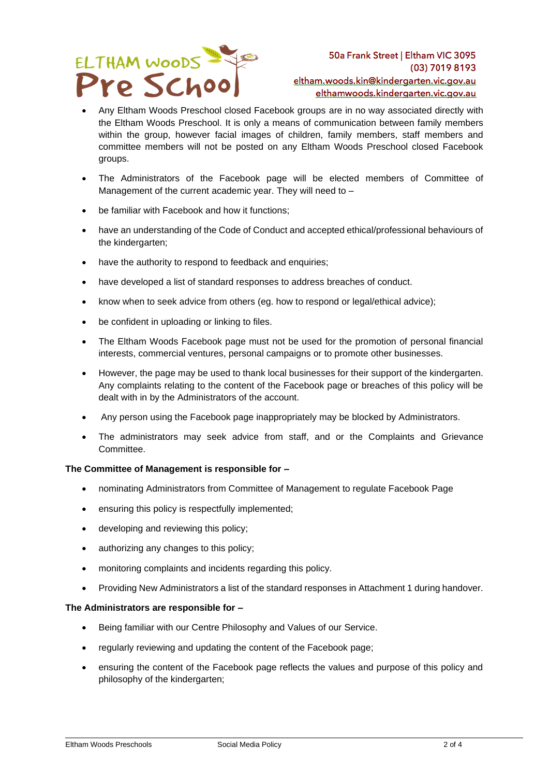

- Any Eltham Woods Preschool closed Facebook groups are in no way associated directly with the Eltham Woods Preschool. It is only a means of communication between family members within the group, however facial images of children, family members, staff members and committee members will not be posted on any Eltham Woods Preschool closed Facebook groups.
- The Administrators of the Facebook page will be elected members of Committee of Management of the current academic year. They will need to –
- be familiar with Facebook and how it functions:
- have an understanding of the Code of Conduct and accepted ethical/professional behaviours of the kindergarten;
- have the authority to respond to feedback and enquiries;
- have developed a list of standard responses to address breaches of conduct.
- know when to seek advice from others (eg. how to respond or legal/ethical advice);
- be confident in uploading or linking to files.
- The Eltham Woods Facebook page must not be used for the promotion of personal financial interests, commercial ventures, personal campaigns or to promote other businesses.
- However, the page may be used to thank local businesses for their support of the kindergarten. Any complaints relating to the content of the Facebook page or breaches of this policy will be dealt with in by the Administrators of the account.
- Any person using the Facebook page inappropriately may be blocked by Administrators.
- The administrators may seek advice from staff, and or the Complaints and Grievance Committee.

## **The Committee of Management is responsible for –**

- nominating Administrators from Committee of Management to regulate Facebook Page
- ensuring this policy is respectfully implemented;
- developing and reviewing this policy;
- authorizing any changes to this policy;
- monitoring complaints and incidents regarding this policy.
- Providing New Administrators a list of the standard responses in Attachment 1 during handover.

## **The Administrators are responsible for –**

- Being familiar with our Centre Philosophy and Values of our Service.
- regularly reviewing and updating the content of the Facebook page;
- ensuring the content of the Facebook page reflects the values and purpose of this policy and philosophy of the kindergarten;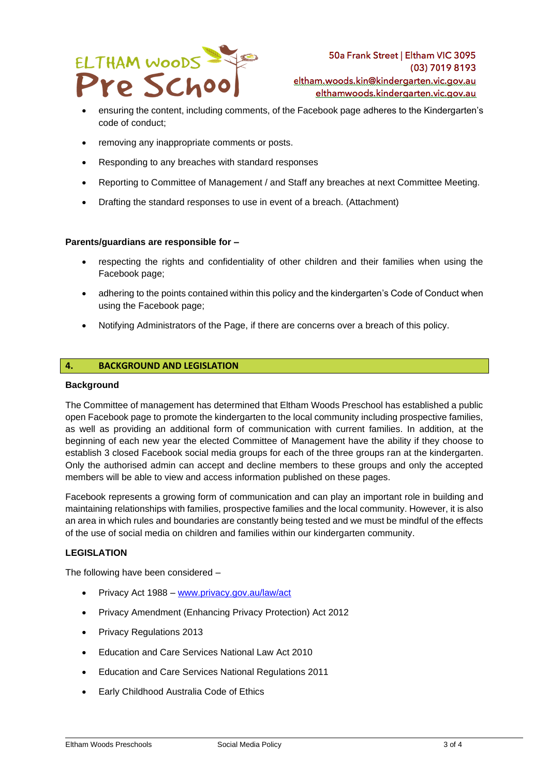

- ensuring the content, including comments, of the Facebook page adheres to the Kindergarten's code of conduct;
- removing any inappropriate comments or posts.
- Responding to any breaches with standard responses
- Reporting to Committee of Management / and Staff any breaches at next Committee Meeting.
- Drafting the standard responses to use in event of a breach. (Attachment)

#### **Parents/guardians are responsible for –**

- respecting the rights and confidentiality of other children and their families when using the Facebook page;
- adhering to the points contained within this policy and the kindergarten's Code of Conduct when using the Facebook page;
- Notifying Administrators of the Page, if there are concerns over a breach of this policy.

## **4. BACKGROUND AND LEGISLATION**

#### **Background**

The Committee of management has determined that Eltham Woods Preschool has established a public open Facebook page to promote the kindergarten to the local community including prospective families, as well as providing an additional form of communication with current families. In addition, at the beginning of each new year the elected Committee of Management have the ability if they choose to establish 3 closed Facebook social media groups for each of the three groups ran at the kindergarten. Only the authorised admin can accept and decline members to these groups and only the accepted members will be able to view and access information published on these pages.

Facebook represents a growing form of communication and can play an important role in building and maintaining relationships with families, prospective families and the local community. However, it is also an area in which rules and boundaries are constantly being tested and we must be mindful of the effects of the use of social media on children and families within our kindergarten community.

## **LEGISLATION**

The following have been considered –

- Privacy Act 1988 [www.privacy.gov.au/law/act](http://www.privacy.gov.au/law/act)
- Privacy Amendment (Enhancing Privacy Protection) Act 2012
- Privacy Regulations 2013
- Education and Care Services National Law Act 2010
- Education and Care Services National Regulations 2011
- Early Childhood Australia Code of Ethics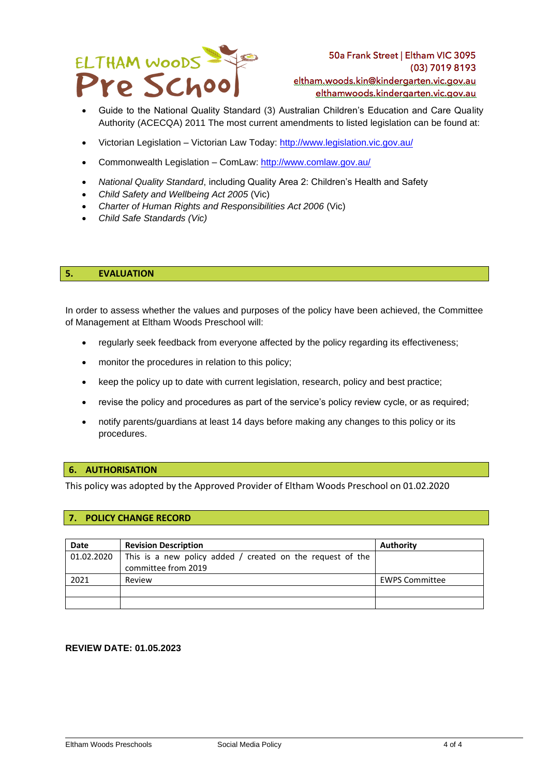

- Guide to the National Quality Standard (3) Australian Children's Education and Care Quality Authority (ACECQA) 2011 The most current amendments to listed legislation can be found at:
- Victorian Legislation Victorian Law Today:<http://www.legislation.vic.gov.au/>
- Commonwealth Legislation ComLaw:<http://www.comlaw.gov.au/>
- *National Quality Standard*, including Quality Area 2: Children's Health and Safety
- *Child Safety and Wellbeing Act 2005* (Vic)
- *Charter of Human Rights and Responsibilities Act 2006* (Vic)
- *Child Safe Standards (Vic)*

## **5. EVALUATION**

In order to assess whether the values and purposes of the policy have been achieved, the Committee of Management at Eltham Woods Preschool will:

- regularly seek feedback from everyone affected by the policy regarding its effectiveness;
- monitor the procedures in relation to this policy;
- keep the policy up to date with current legislation, research, policy and best practice;
- revise the policy and procedures as part of the service's policy review cycle, or as required;
- notify parents/guardians at least 14 days before making any changes to this policy or its procedures.

#### **6. AUTHORISATION**

This policy was adopted by the Approved Provider of Eltham Woods Preschool on 01.02.2020

#### **7. POLICY CHANGE RECORD**

| Date       | <b>Revision Description</b>                                                       | <b>Authority</b>      |
|------------|-----------------------------------------------------------------------------------|-----------------------|
| 01.02.2020 | This is a new policy added / created on the request of the<br>committee from 2019 |                       |
| 2021       | Review                                                                            | <b>EWPS Committee</b> |
|            |                                                                                   |                       |
|            |                                                                                   |                       |

## **REVIEW DATE: 01.05.2023**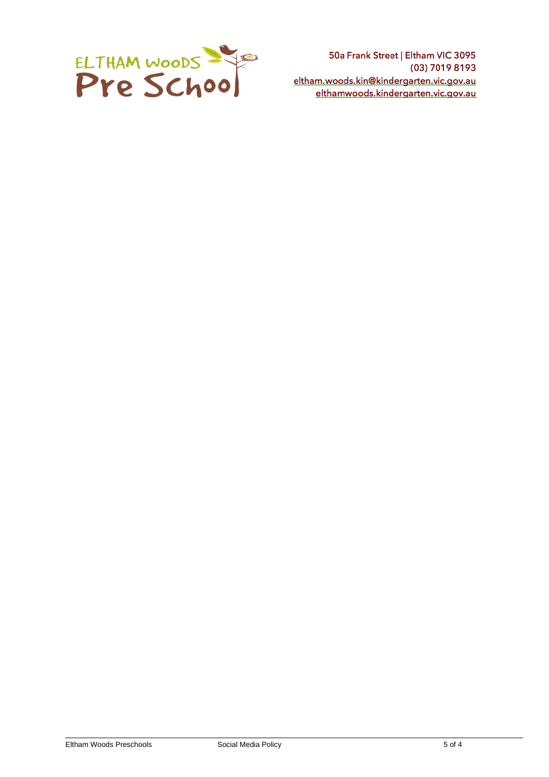

50a Frank Street | Eltham VIC 3095 (03) 7019 8193 eltham.woods.kin@kindergarten.vic.gov.au elthamwoods.kindergarten.vic.gov.au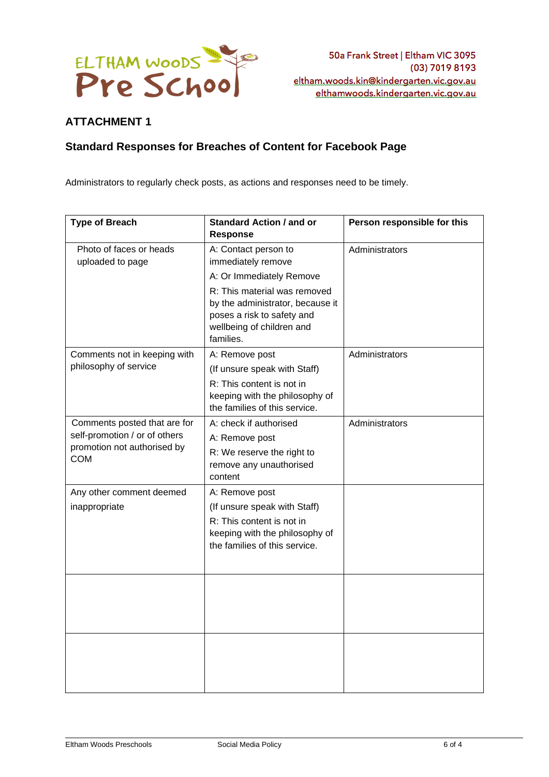

## **ATTACHMENT 1**

# **Standard Responses for Breaches of Content for Facebook Page**

Administrators to regularly check posts, as actions and responses need to be timely.

| <b>Type of Breach</b>                       | <b>Standard Action / and or</b><br>Response                                                                                              | Person responsible for this |
|---------------------------------------------|------------------------------------------------------------------------------------------------------------------------------------------|-----------------------------|
| Photo of faces or heads<br>uploaded to page | A: Contact person to<br>immediately remove                                                                                               | Administrators              |
|                                             | A: Or Immediately Remove                                                                                                                 |                             |
|                                             | R: This material was removed<br>by the administrator, because it<br>poses a risk to safety and<br>wellbeing of children and<br>families. |                             |
| Comments not in keeping with                | A: Remove post                                                                                                                           | Administrators              |
| philosophy of service                       | (If unsure speak with Staff)                                                                                                             |                             |
|                                             | R: This content is not in<br>keeping with the philosophy of<br>the families of this service.                                             |                             |
| Comments posted that are for                | A: check if authorised                                                                                                                   | Administrators              |
| self-promotion / or of others               | A: Remove post                                                                                                                           |                             |
| promotion not authorised by<br><b>COM</b>   | R: We reserve the right to<br>remove any unauthorised<br>content                                                                         |                             |
| Any other comment deemed                    | A: Remove post                                                                                                                           |                             |
| inappropriate                               | (If unsure speak with Staff)                                                                                                             |                             |
|                                             | R: This content is not in<br>keeping with the philosophy of<br>the families of this service.                                             |                             |
|                                             |                                                                                                                                          |                             |
|                                             |                                                                                                                                          |                             |